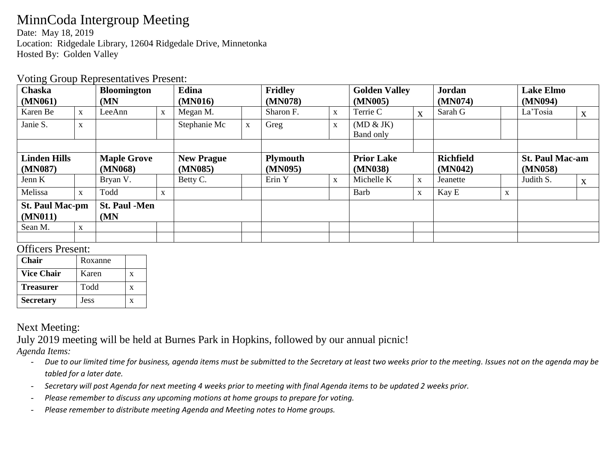# MinnCoda Intergroup Meeting

Date: May 18, 2019 Location: Ridgedale Library, 12604 Ridgedale Drive, Minnetonka Hosted By: Golden Valley

#### Voting Group Representatives Present:

| Chaska<br>(MN061)                 |              | <b>Bloomington</b><br>(MN   |             | Edina<br>(MN016)  |   | <b>Fridley</b><br>(MN078) |              | <b>Golden Valley</b><br>(MN005) |              | <b>Jordan</b><br>(MN074) |   | <b>Lake Elmo</b><br>(MN094) |   |
|-----------------------------------|--------------|-----------------------------|-------------|-------------------|---|---------------------------|--------------|---------------------------------|--------------|--------------------------|---|-----------------------------|---|
| Karen Be                          | $\mathbf{X}$ | LeeAnn                      | $\mathbf X$ | Megan M.          |   | Sharon F.                 | $\mathbf{X}$ | Terrie C                        | $\mathbf{X}$ | Sarah G                  |   | La'Tosia                    | X |
| Janie S.                          | $\mathbf X$  |                             |             | Stephanie Mc      | X | Greg                      | $\mathbf X$  | (MD & JK)<br>Band only          |              |                          |   |                             |   |
|                                   |              |                             |             |                   |   |                           |              |                                 |              |                          |   |                             |   |
| <b>Linden Hills</b>               |              | <b>Maple Grove</b>          |             | <b>New Prague</b> |   | <b>Plymouth</b>           |              | <b>Prior Lake</b>               |              | <b>Richfield</b>         |   | <b>St. Paul Mac-am</b>      |   |
| (MN087)                           |              | (MN068)                     |             | (MN085)           |   | (MN095)                   |              | (MN038)                         |              | (MN042)                  |   | (MN058)                     |   |
| Jenn K                            |              | Bryan V.                    |             | Betty C.          |   | Erin Y                    | $\mathbf{X}$ | Michelle K                      | X            | Jeanette                 |   | Judith S.                   | X |
| Melissa                           | $\mathbf X$  | Todd                        | $\mathbf X$ |                   |   |                           |              | Barb                            | $\mathbf X$  | Kay E                    | X |                             |   |
| <b>St. Paul Mac-pm</b><br>(MN011) |              | <b>St. Paul -Men</b><br>(MN |             |                   |   |                           |              |                                 |              |                          |   |                             |   |
| Sean M.                           | $\mathbf X$  |                             |             |                   |   |                           |              |                                 |              |                          |   |                             |   |
|                                   |              |                             |             |                   |   |                           |              |                                 |              |                          |   |                             |   |

#### Officers Present:

| <b>Chair</b>      | Roxanne     |   |
|-------------------|-------------|---|
| <b>Vice Chair</b> | Karen       | x |
| <b>Treasurer</b>  | Todd        | X |
| <b>Secretary</b>  | <b>Jess</b> | x |

### Next Meeting:

July 2019 meeting will be held at Burnes Park in Hopkins, followed by our annual picnic!

*Agenda Items:* 

- *Due to our limited time for business, agenda items must be submitted to the Secretary at least two weeks prior to the meeting. Issues not on the agenda may be tabled for a later date.*
- *Secretary will post Agenda for next meeting 4 weeks prior to meeting with final Agenda items to be updated 2 weeks prior.*
- *Please remember to discuss any upcoming motions at home groups to prepare for voting.*
- *Please remember to distribute meeting Agenda and Meeting notes to Home groups.*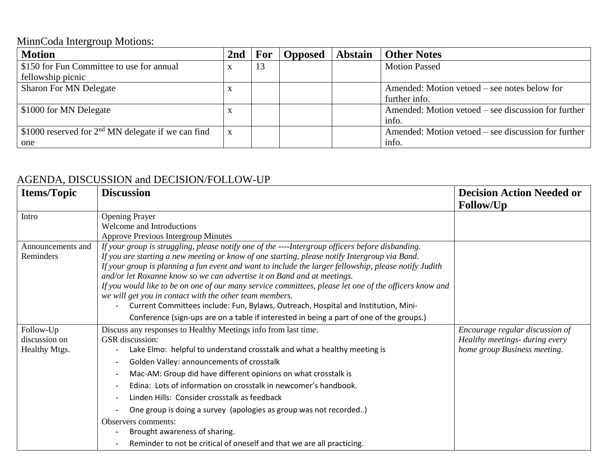# MinnCoda Intergroup Motions:

| <b>Motion</b>                                        | 2 <sub>nd</sub> | <b>For</b> | <b>Opposed</b> | <b>Abstain</b> | <b>Other Notes</b>                                  |
|------------------------------------------------------|-----------------|------------|----------------|----------------|-----------------------------------------------------|
| \$150 for Fun Committee to use for annual            |                 | 13         |                |                | <b>Motion Passed</b>                                |
| fellowship picnic                                    |                 |            |                |                |                                                     |
| <b>Sharon For MN Delegate</b>                        | $\Lambda$       |            |                |                | Amended: Motion vetoed – see notes below for        |
|                                                      |                 |            |                |                | further info.                                       |
| \$1000 for MN Delegate                               | $\Lambda$       |            |                |                | Amended: Motion vetoed – see discussion for further |
|                                                      |                 |            |                |                | info.                                               |
| \$1000 reserved for $2nd$ MN delegate if we can find | X               |            |                |                | Amended: Motion vetoed – see discussion for further |
| one                                                  |                 |            |                |                | info.                                               |

## AGENDA, DISCUSSION and DECISION/FOLLOW-UP

| <b>Items/Topic</b> | <b>Discussion</b>                                                                                      | <b>Decision Action Needed or</b><br><b>Follow/Up</b> |
|--------------------|--------------------------------------------------------------------------------------------------------|------------------------------------------------------|
| Intro              | <b>Opening Prayer</b>                                                                                  |                                                      |
|                    | Welcome and Introductions                                                                              |                                                      |
|                    | <b>Approve Previous Intergroup Minutes</b>                                                             |                                                      |
| Announcements and  | If your group is struggling, please notify one of the ----Intergroup officers before disbanding.       |                                                      |
| Reminders          | If you are starting a new meeting or know of one starting, please notify Intergroup via Band.          |                                                      |
|                    | If your group is planning a fun event and want to include the larger fellowship, please notify Judith  |                                                      |
|                    | and/or let Roxanne know so we can advertise it on Band and at meetings.                                |                                                      |
|                    | If you would like to be on one of our many service committees, please let one of the officers know and |                                                      |
|                    | we will get you in contact with the other team members.                                                |                                                      |
|                    | Current Committees include: Fun, Bylaws, Outreach, Hospital and Institution, Mini-                     |                                                      |
|                    | Conference (sign-ups are on a table if interested in being a part of one of the groups.)               |                                                      |
| Follow-Up          | Discuss any responses to Healthy Meetings info from last time.                                         | Encourage regular discussion of                      |
| discussion on      | <b>GSR</b> discussion:                                                                                 | Healthy meetings- during every                       |
| Healthy Mtgs.      | Lake Elmo: helpful to understand crosstalk and what a healthy meeting is                               | home group Business meeting.                         |
|                    | Golden Valley: announcements of crosstalk                                                              |                                                      |
|                    | Mac-AM: Group did have different opinions on what crosstalk is                                         |                                                      |
|                    | Edina: Lots of information on crosstalk in newcomer's handbook.                                        |                                                      |
|                    | Linden Hills: Consider crosstalk as feedback                                                           |                                                      |
|                    | One group is doing a survey (apologies as group was not recorded)                                      |                                                      |
|                    | Observers comments:                                                                                    |                                                      |
|                    | Brought awareness of sharing.                                                                          |                                                      |
|                    | Reminder to not be critical of oneself and that we are all practicing.                                 |                                                      |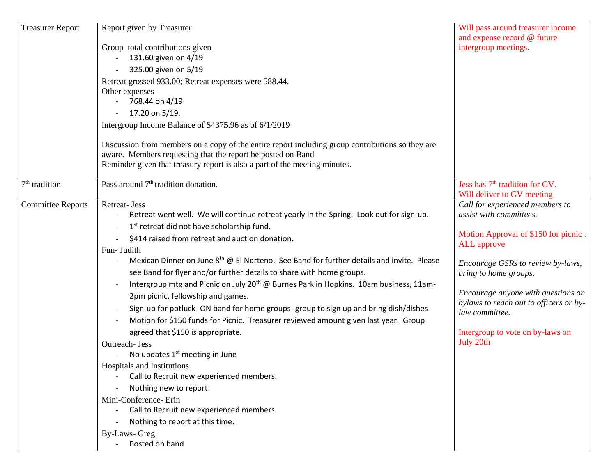| <b>Treasurer Report</b>  | Report given by Treasurer                                                                         | Will pass around treasurer income          |
|--------------------------|---------------------------------------------------------------------------------------------------|--------------------------------------------|
|                          |                                                                                                   | and expense record @ future                |
|                          | Group total contributions given                                                                   | intergroup meetings.                       |
|                          | 131.60 given on 4/19                                                                              |                                            |
|                          | 325.00 given on 5/19                                                                              |                                            |
|                          | Retreat grossed 933.00; Retreat expenses were 588.44.                                             |                                            |
|                          | Other expenses                                                                                    |                                            |
|                          | 768.44 on 4/19                                                                                    |                                            |
|                          | 17.20 on 5/19.                                                                                    |                                            |
|                          | Intergroup Income Balance of \$4375.96 as of 6/1/2019                                             |                                            |
|                          | Discussion from members on a copy of the entire report including group contributions so they are  |                                            |
|                          | aware. Members requesting that the report be posted on Band                                       |                                            |
|                          | Reminder given that treasury report is also a part of the meeting minutes.                        |                                            |
| $7th$ tradition          | Pass around 7 <sup>th</sup> tradition donation.                                                   | Jess has 7 <sup>th</sup> tradition for GV. |
|                          |                                                                                                   | Will deliver to GV meeting                 |
| <b>Committee Reports</b> | <b>Retreat-Jess</b>                                                                               | Call for experienced members to            |
|                          | Retreat went well. We will continue retreat yearly in the Spring. Look out for sign-up.           | assist with committees.                    |
|                          | 1 <sup>st</sup> retreat did not have scholarship fund.                                            |                                            |
|                          | \$414 raised from retreat and auction donation.                                                   | Motion Approval of \$150 for picnic.       |
|                          | Fun- Judith                                                                                       | ALL approve                                |
|                          | Mexican Dinner on June $8^{th}$ @ El Norteno. See Band for further details and invite. Please     | Encourage GSRs to review by-laws,          |
|                          | see Band for flyer and/or further details to share with home groups.                              | bring to home groups.                      |
|                          | Intergroup mtg and Picnic on July 20 <sup>th</sup> @ Burnes Park in Hopkins. 10am business, 11am- |                                            |
|                          | 2pm picnic, fellowship and games.                                                                 | Encourage anyone with questions on         |
|                          |                                                                                                   | bylaws to reach out to officers or by-     |
|                          | Sign-up for potluck- ON band for home groups- group to sign up and bring dish/dishes              | law committee.                             |
|                          | Motion for \$150 funds for Picnic. Treasurer reviewed amount given last year. Group               |                                            |
|                          | agreed that \$150 is appropriate.                                                                 | Intergroup to vote on by-laws on           |
|                          | Outreach- Jess                                                                                    | July 20th                                  |
|                          | No updates 1 <sup>st</sup> meeting in June                                                        |                                            |
|                          | Hospitals and Institutions                                                                        |                                            |
|                          | Call to Recruit new experienced members.                                                          |                                            |
|                          | Nothing new to report                                                                             |                                            |
|                          | Mini-Conference- Erin                                                                             |                                            |
|                          | Call to Recruit new experienced members                                                           |                                            |
|                          | Nothing to report at this time.                                                                   |                                            |
|                          | By-Laws- Greg                                                                                     |                                            |
|                          | Posted on band                                                                                    |                                            |